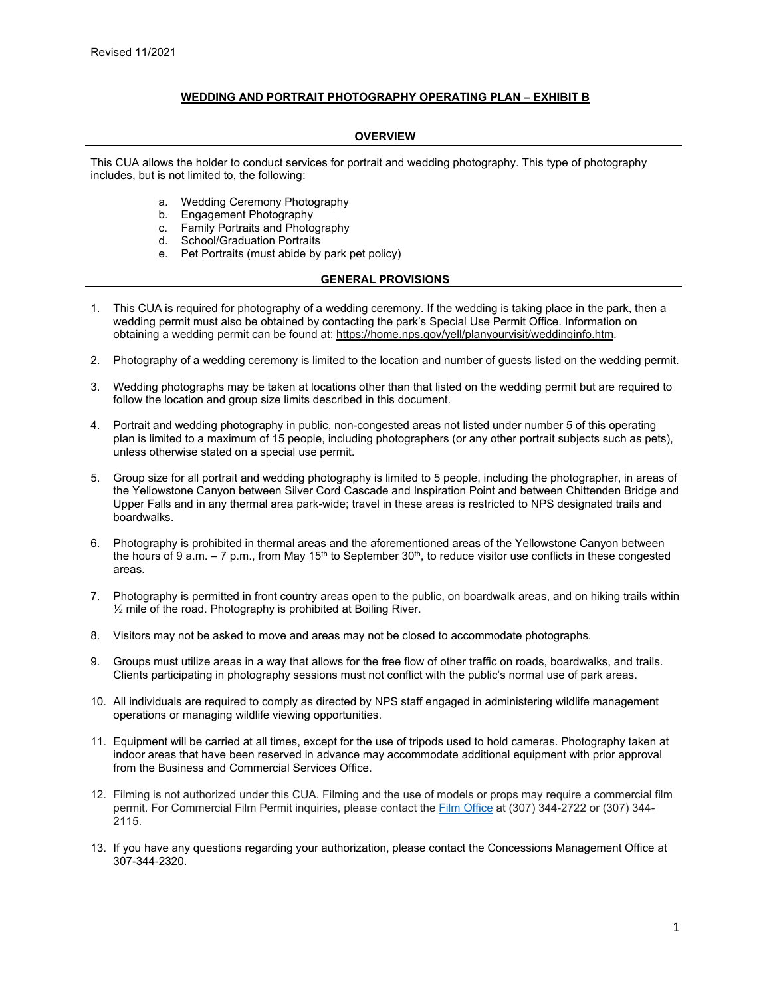## **WEDDING AND PORTRAIT PHOTOGRAPHY OPERATING PLAN – EXHIBIT B**

## **OVERVIEW**

This CUA allows the holder to conduct services for portrait and wedding photography. This type of photography includes, but is not limited to, the following:

- a. Wedding Ceremony Photography
- b. Engagement Photography
- c. Family Portraits and Photography
- d. School/Graduation Portraits
- e. Pet Portraits (must abide by park pet policy)

## **GENERAL PROVISIONS**

- 1. This CUA is required for photography of a wedding ceremony. If the wedding is taking place in the park, then a wedding permit must also be obtained by contacting the park's Special Use Permit Office. Information on obtaining a wedding permit can be found at: [https://home.nps.gov/yell/planyourvisit/weddinginfo.htm.](https://home.nps.gov/yell/planyourvisit/weddinginfo.htm)
- 2. Photography of a wedding ceremony is limited to the location and number of guests listed on the wedding permit.
- 3. Wedding photographs may be taken at locations other than that listed on the wedding permit but are required to follow the location and group size limits described in this document.
- 4. Portrait and wedding photography in public, non-congested areas not listed under number 5 of this operating plan is limited to a maximum of 15 people, including photographers (or any other portrait subjects such as pets), unless otherwise stated on a special use permit.
- 5. Group size for all portrait and wedding photography is limited to 5 people, including the photographer, in areas of the Yellowstone Canyon between Silver Cord Cascade and Inspiration Point and between Chittenden Bridge and Upper Falls and in any thermal area park-wide; travel in these areas is restricted to NPS designated trails and boardwalks.
- 6. Photography is prohibited in thermal areas and the aforementioned areas of the Yellowstone Canyon between the hours of 9 a.m.  $-7$  p.m., from May 15<sup>th</sup> to September 30<sup>th</sup>, to reduce visitor use conflicts in these congested areas.
- 7. Photography is permitted in front country areas open to the public, on boardwalk areas, and on hiking trails within ½ mile of the road. Photography is prohibited at Boiling River.
- 8. Visitors may not be asked to move and areas may not be closed to accommodate photographs.
- 9. Groups must utilize areas in a way that allows for the free flow of other traffic on roads, boardwalks, and trails. Clients participating in photography sessions must not conflict with the public's normal use of park areas.
- 10. All individuals are required to comply as directed by NPS staff engaged in administering wildlife management operations or managing wildlife viewing opportunities.
- 11. Equipment will be carried at all times, except for the use of tripods used to hold cameras. Photography taken at indoor areas that have been reserved in advance may accommodate additional equipment with prior approval from the Business and Commercial Services Office.
- 12. Filming is not authorized under this CUA. Filming and the use of models or props may require a commercial film permit. For Commercial Film Permit inquiries, please contact th[e Film Office](https://www.nps.gov/yell/planyourvisit/filmpermit.htm) at (307) 344-2722 or (307) 344- 2115.
- 13. If you have any questions regarding your authorization, please contact the Concessions Management Office at 307-344-2320.